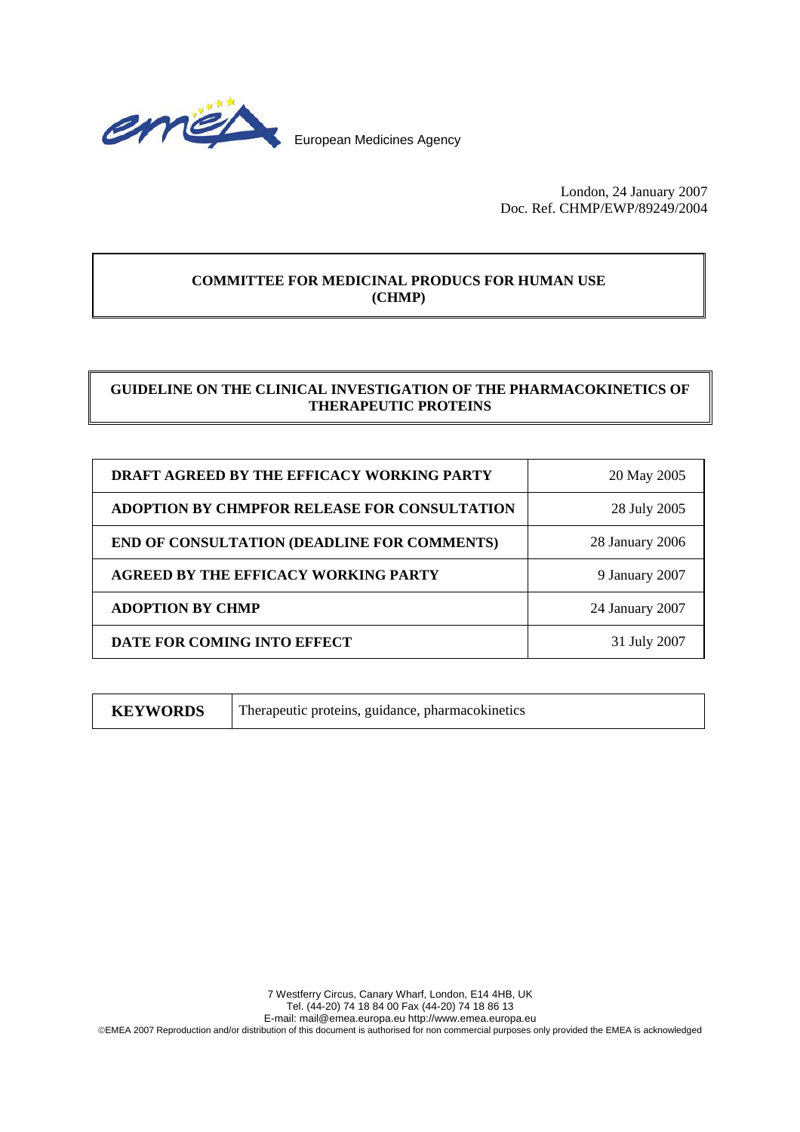

London, 24 January 2007 Doc. Ref. CHMP/EWP/89249/2004

# **COMMITTEE FOR MEDICINAL PRODUCS FOR HUMAN USE (CHMP)**

# **GUIDELINE ON THE CLINICAL INVESTIGATION OF THE PHARMACOKINETICS OF THERAPEUTIC PROTEINS**

| <b>DRAFT AGREED BY THE EFFICACY WORKING PARTY</b>   | 20 May 2005     |
|-----------------------------------------------------|-----------------|
| <b>ADOPTION BY CHMPFOR RELEASE FOR CONSULTATION</b> | 28 July 2005    |
| <b>END OF CONSULTATION (DEADLINE FOR COMMENTS)</b>  | 28 January 2006 |
| <b>AGREED BY THE EFFICACY WORKING PARTY</b>         | 9 January 2007  |
| <b>ADOPTION BY CHMP</b>                             | 24 January 2007 |
| DATE FOR COMING INTO EFFECT                         | 31 July 2007    |

**KEYWORDS** Therapeutic proteins, guidance, pharmacokinetics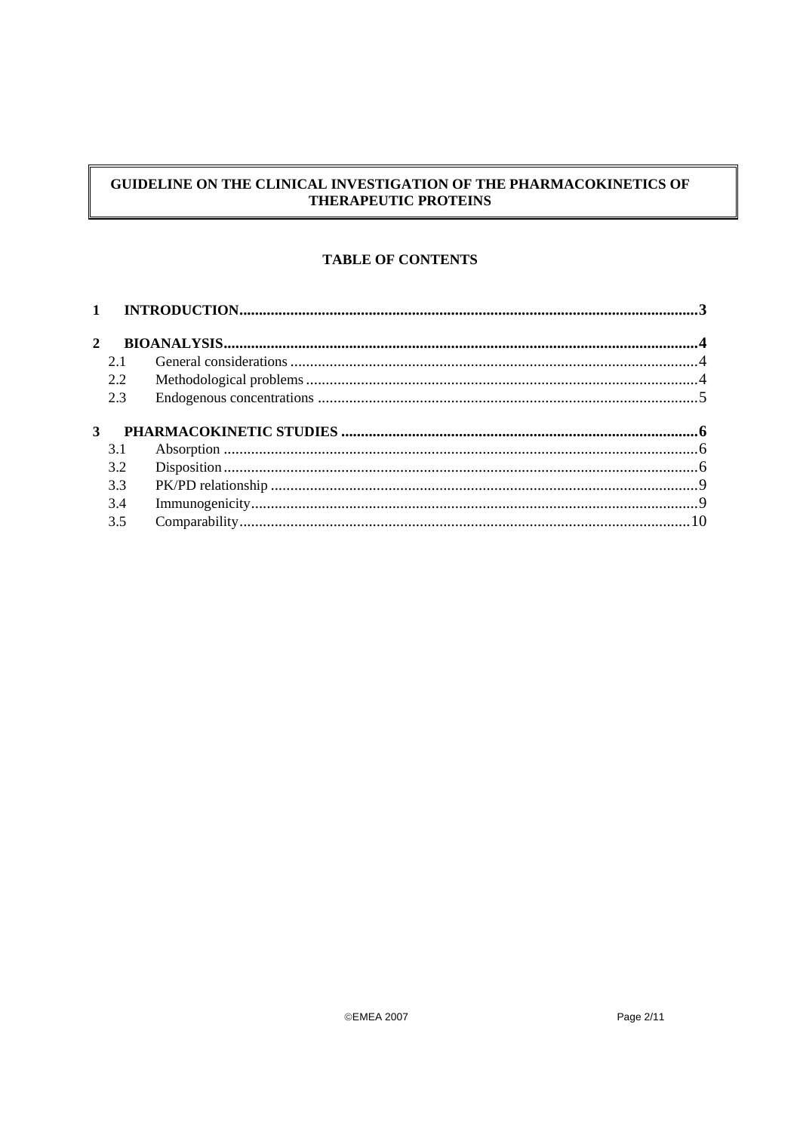# GUIDELINE ON THE CLINICAL INVESTIGATION OF THE PHARMACOKINETICS OF THERAPEUTIC PROTEINS

# **TABLE OF CONTENTS**

| $\mathbf{1}$ |     |  |
|--------------|-----|--|
| $\mathbf{2}$ |     |  |
|              | 2.1 |  |
|              | 2.2 |  |
|              | 2.3 |  |
|              |     |  |
| 3            |     |  |
|              | 3.1 |  |
|              | 3.2 |  |
|              | 3.3 |  |
|              | 3.4 |  |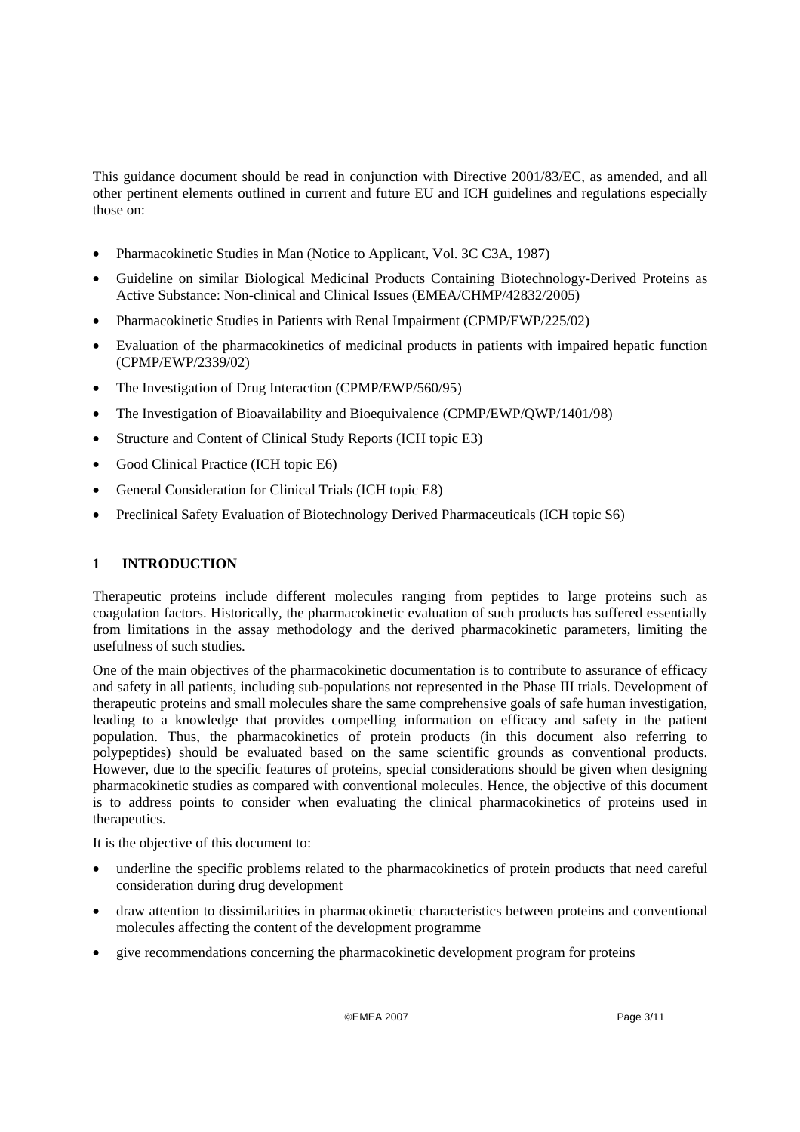This guidance document should be read in conjunction with Directive 2001/83/EC, as amended, and all other pertinent elements outlined in current and future EU and ICH guidelines and regulations especially those on:

- Pharmacokinetic Studies in Man (Notice to Applicant, Vol. 3C C3A, 1987)
- Guideline on similar Biological Medicinal Products Containing Biotechnology-Derived Proteins as Active Substance: Non-clinical and Clinical Issues (EMEA/CHMP/42832/2005)
- Pharmacokinetic Studies in Patients with Renal Impairment (CPMP/EWP/225/02)
- Evaluation of the pharmacokinetics of medicinal products in patients with impaired hepatic function (CPMP/EWP/2339/02)
- The Investigation of Drug Interaction (CPMP/EWP/560/95)
- The Investigation of Bioavailability and Bioequivalence (CPMP/EWP/QWP/1401/98)
- Structure and Content of Clinical Study Reports (ICH topic E3)
- Good Clinical Practice (ICH topic E6)
- General Consideration for Clinical Trials (ICH topic E8)
- Preclinical Safety Evaluation of Biotechnology Derived Pharmaceuticals (ICH topic S6)

## **1 INTRODUCTION**

Therapeutic proteins include different molecules ranging from peptides to large proteins such as coagulation factors. Historically, the pharmacokinetic evaluation of such products has suffered essentially from limitations in the assay methodology and the derived pharmacokinetic parameters, limiting the usefulness of such studies.

One of the main objectives of the pharmacokinetic documentation is to contribute to assurance of efficacy and safety in all patients, including sub-populations not represented in the Phase III trials. Development of therapeutic proteins and small molecules share the same comprehensive goals of safe human investigation, leading to a knowledge that provides compelling information on efficacy and safety in the patient population. Thus, the pharmacokinetics of protein products (in this document also referring to polypeptides) should be evaluated based on the same scientific grounds as conventional products. However, due to the specific features of proteins, special considerations should be given when designing pharmacokinetic studies as compared with conventional molecules. Hence, the objective of this document is to address points to consider when evaluating the clinical pharmacokinetics of proteins used in therapeutics.

It is the objective of this document to:

- underline the specific problems related to the pharmacokinetics of protein products that need careful consideration during drug development
- draw attention to dissimilarities in pharmacokinetic characteristics between proteins and conventional molecules affecting the content of the development programme
- give recommendations concerning the pharmacokinetic development program for proteins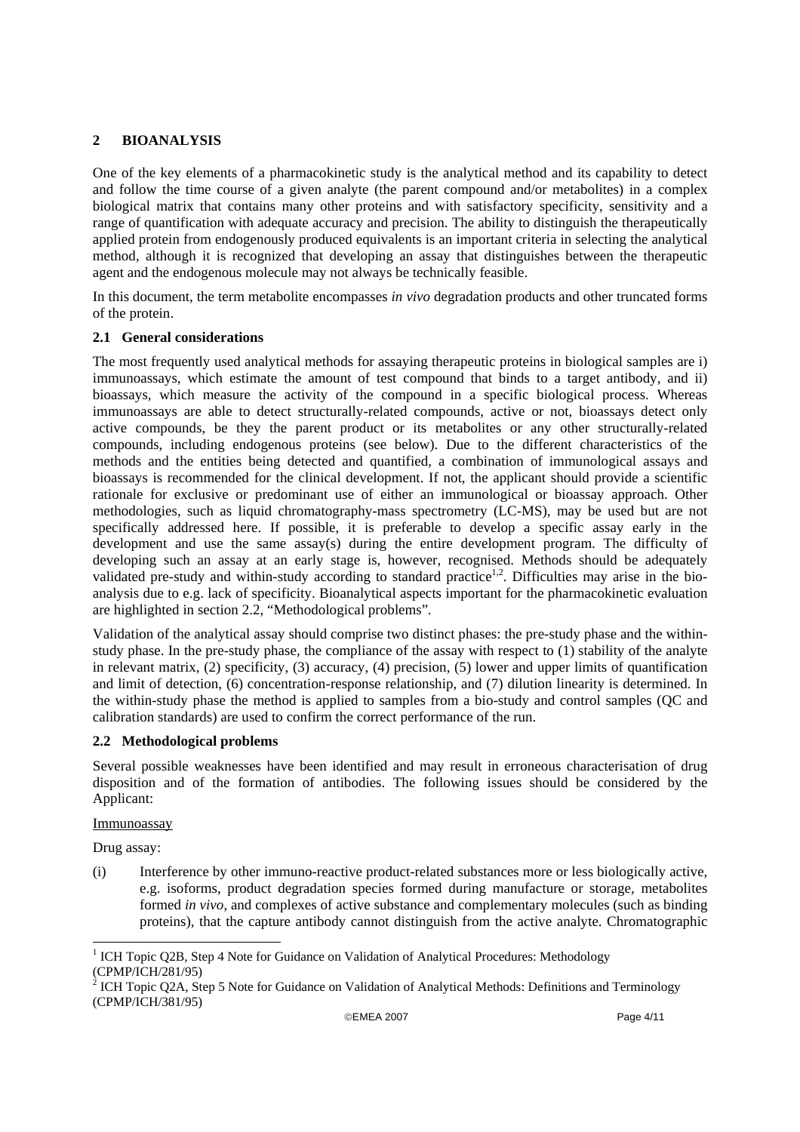## **2 BIOANALYSIS**

One of the key elements of a pharmacokinetic study is the analytical method and its capability to detect and follow the time course of a given analyte (the parent compound and/or metabolites) in a complex biological matrix that contains many other proteins and with satisfactory specificity, sensitivity and a range of quantification with adequate accuracy and precision. The ability to distinguish the therapeutically applied protein from endogenously produced equivalents is an important criteria in selecting the analytical method, although it is recognized that developing an assay that distinguishes between the therapeutic agent and the endogenous molecule may not always be technically feasible.

In this document, the term metabolite encompasses *in vivo* degradation products and other truncated forms of the protein.

## **2.1 General considerations**

The most frequently used analytical methods for assaying therapeutic proteins in biological samples are i) immunoassays, which estimate the amount of test compound that binds to a target antibody, and ii) bioassays, which measure the activity of the compound in a specific biological process. Whereas immunoassays are able to detect structurally-related compounds, active or not, bioassays detect only active compounds, be they the parent product or its metabolites or any other structurally-related compounds, including endogenous proteins (see below). Due to the different characteristics of the methods and the entities being detected and quantified, a combination of immunological assays and bioassays is recommended for the clinical development. If not, the applicant should provide a scientific rationale for exclusive or predominant use of either an immunological or bioassay approach. Other methodologies, such as liquid chromatography-mass spectrometry (LC-MS), may be used but are not specifically addressed here. If possible, it is preferable to develop a specific assay early in the development and use the same assay(s) during the entire development program. The difficulty of developing such an assay at an early stage is, however, recognised. Methods should be adequately validated pre-study and within-study according to standard practice<sup>1,2</sup>. Difficulties may arise in the bioanalysis due to e.g. lack of specificity. Bioanalytical aspects important for the pharmacokinetic evaluation are highlighted in section 2.2, "Methodological problems"*.*

Validation of the analytical assay should comprise two distinct phases: the pre-study phase and the withinstudy phase. In the pre-study phase, the compliance of the assay with respect to (1) stability of the analyte in relevant matrix, (2) specificity, (3) accuracy, (4) precision, (5) lower and upper limits of quantification and limit of detection, (6) concentration-response relationship, and (7) dilution linearity is determined. In the within-study phase the method is applied to samples from a bio-study and control samples (QC and calibration standards) are used to confirm the correct performance of the run.

## **2.2 Methodological problems**

Several possible weaknesses have been identified and may result in erroneous characterisation of drug disposition and of the formation of antibodies. The following issues should be considered by the Applicant:

#### Immunoassay

Drug assay:

(i) Interference by other immuno-reactive product-related substances more or less biologically active, e.g. isoforms, product degradation species formed during manufacture or storage, metabolites formed *in vivo*, and complexes of active substance and complementary molecules (such as binding proteins), that the capture antibody cannot distinguish from the active analyte. Chromatographic

<sup>&</sup>lt;sup>1</sup> ICH Topic Q2B, Step 4 Note for Guidance on Validation of Analytical Procedures: Methodology

<sup>(</sup>CPMP/ICH/281/95)<br><sup>2</sup> ICH Topic Q2A, Step 5 Note for Guidance on Validation of Analytical Methods: Definitions and Terminology (CPMP/ICH/381/95)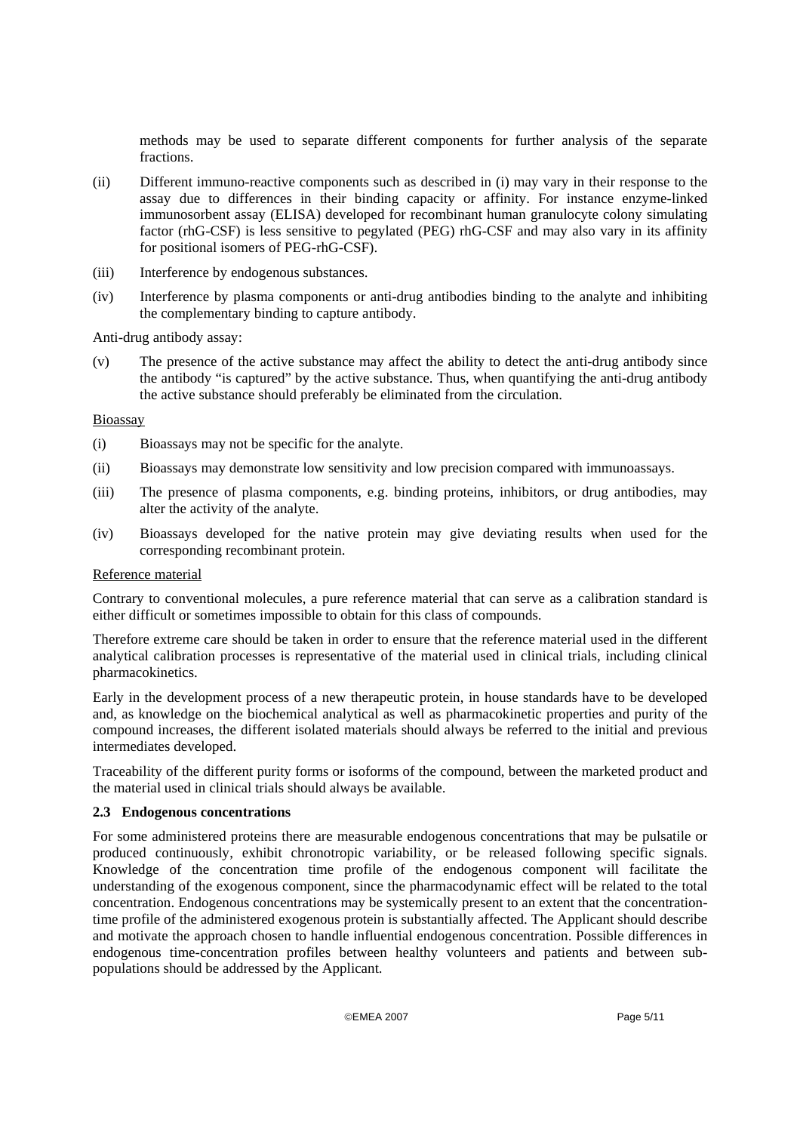methods may be used to separate different components for further analysis of the separate fractions.

- (ii) Different immuno-reactive components such as described in (i) may vary in their response to the assay due to differences in their binding capacity or affinity. For instance enzyme-linked immunosorbent assay (ELISA) developed for recombinant human granulocyte colony simulating factor (rhG-CSF) is less sensitive to pegylated (PEG) rhG-CSF and may also vary in its affinity for positional isomers of PEG-rhG-CSF).
- (iii) Interference by endogenous substances.
- (iv) Interference by plasma components or anti-drug antibodies binding to the analyte and inhibiting the complementary binding to capture antibody.

Anti-drug antibody assay:

(v) The presence of the active substance may affect the ability to detect the anti-drug antibody since the antibody "is captured" by the active substance. Thus, when quantifying the anti-drug antibody the active substance should preferably be eliminated from the circulation.

#### Bioassay

- (i) Bioassays may not be specific for the analyte.
- (ii) Bioassays may demonstrate low sensitivity and low precision compared with immunoassays.
- (iii) The presence of plasma components, e.g. binding proteins, inhibitors, or drug antibodies, may alter the activity of the analyte.
- (iv) Bioassays developed for the native protein may give deviating results when used for the corresponding recombinant protein.

#### Reference material

Contrary to conventional molecules, a pure reference material that can serve as a calibration standard is either difficult or sometimes impossible to obtain for this class of compounds.

Therefore extreme care should be taken in order to ensure that the reference material used in the different analytical calibration processes is representative of the material used in clinical trials, including clinical pharmacokinetics.

Early in the development process of a new therapeutic protein, in house standards have to be developed and, as knowledge on the biochemical analytical as well as pharmacokinetic properties and purity of the compound increases, the different isolated materials should always be referred to the initial and previous intermediates developed.

Traceability of the different purity forms or isoforms of the compound, between the marketed product and the material used in clinical trials should always be available.

#### **2.3 Endogenous concentrations**

For some administered proteins there are measurable endogenous concentrations that may be pulsatile or produced continuously, exhibit chronotropic variability, or be released following specific signals. Knowledge of the concentration time profile of the endogenous component will facilitate the understanding of the exogenous component, since the pharmacodynamic effect will be related to the total concentration. Endogenous concentrations may be systemically present to an extent that the concentrationtime profile of the administered exogenous protein is substantially affected. The Applicant should describe and motivate the approach chosen to handle influential endogenous concentration. Possible differences in endogenous time-concentration profiles between healthy volunteers and patients and between subpopulations should be addressed by the Applicant.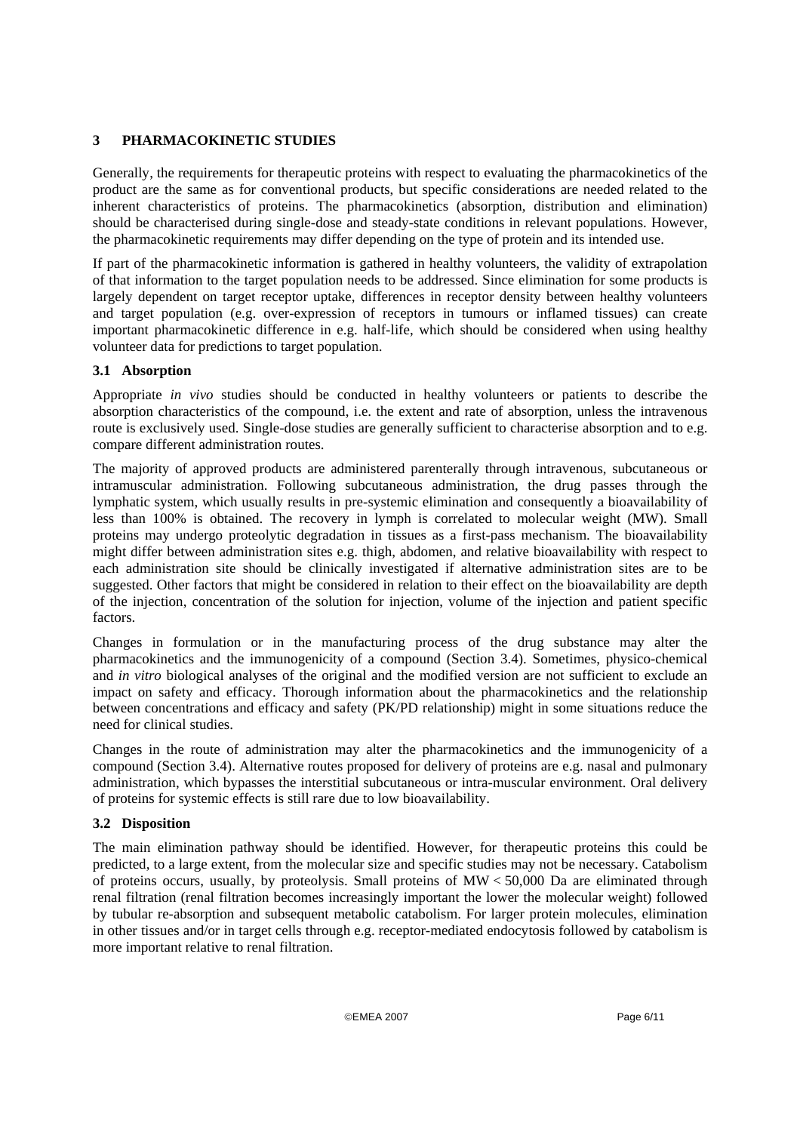# **3 PHARMACOKINETIC STUDIES**

Generally, the requirements for therapeutic proteins with respect to evaluating the pharmacokinetics of the product are the same as for conventional products, but specific considerations are needed related to the inherent characteristics of proteins. The pharmacokinetics (absorption, distribution and elimination) should be characterised during single-dose and steady-state conditions in relevant populations. However, the pharmacokinetic requirements may differ depending on the type of protein and its intended use.

If part of the pharmacokinetic information is gathered in healthy volunteers, the validity of extrapolation of that information to the target population needs to be addressed. Since elimination for some products is largely dependent on target receptor uptake, differences in receptor density between healthy volunteers and target population (e.g. over-expression of receptors in tumours or inflamed tissues) can create important pharmacokinetic difference in e.g. half-life, which should be considered when using healthy volunteer data for predictions to target population.

# **3.1 Absorption**

Appropriate *in vivo* studies should be conducted in healthy volunteers or patients to describe the absorption characteristics of the compound, i.e. the extent and rate of absorption, unless the intravenous route is exclusively used. Single-dose studies are generally sufficient to characterise absorption and to e.g. compare different administration routes.

The majority of approved products are administered parenterally through intravenous, subcutaneous or intramuscular administration. Following subcutaneous administration, the drug passes through the lymphatic system, which usually results in pre-systemic elimination and consequently a bioavailability of less than 100% is obtained. The recovery in lymph is correlated to molecular weight (MW). Small proteins may undergo proteolytic degradation in tissues as a first-pass mechanism. The bioavailability might differ between administration sites e.g. thigh, abdomen, and relative bioavailability with respect to each administration site should be clinically investigated if alternative administration sites are to be suggested. Other factors that might be considered in relation to their effect on the bioavailability are depth of the injection, concentration of the solution for injection, volume of the injection and patient specific factors.

Changes in formulation or in the manufacturing process of the drug substance may alter the pharmacokinetics and the immunogenicity of a compound (Section 3.4). Sometimes, physico-chemical and *in vitro* biological analyses of the original and the modified version are not sufficient to exclude an impact on safety and efficacy. Thorough information about the pharmacokinetics and the relationship between concentrations and efficacy and safety (PK/PD relationship) might in some situations reduce the need for clinical studies.

Changes in the route of administration may alter the pharmacokinetics and the immunogenicity of a compound (Section 3.4). Alternative routes proposed for delivery of proteins are e.g. nasal and pulmonary administration, which bypasses the interstitial subcutaneous or intra-muscular environment. Oral delivery of proteins for systemic effects is still rare due to low bioavailability.

# **3.2 Disposition**

The main elimination pathway should be identified. However, for therapeutic proteins this could be predicted, to a large extent, from the molecular size and specific studies may not be necessary. Catabolism of proteins occurs, usually, by proteolysis. Small proteins of MW < 50,000 Da are eliminated through renal filtration (renal filtration becomes increasingly important the lower the molecular weight) followed by tubular re-absorption and subsequent metabolic catabolism. For larger protein molecules, elimination in other tissues and/or in target cells through e.g. receptor-mediated endocytosis followed by catabolism is more important relative to renal filtration.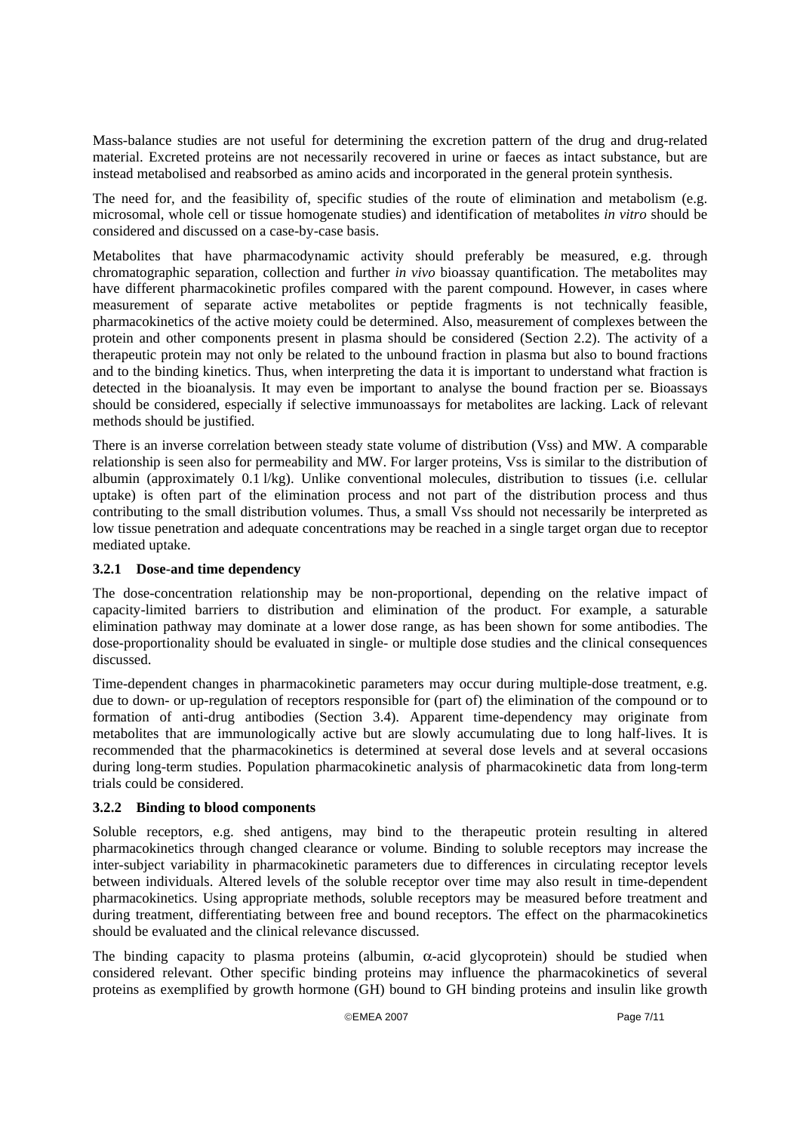Mass-balance studies are not useful for determining the excretion pattern of the drug and drug-related material. Excreted proteins are not necessarily recovered in urine or faeces as intact substance, but are instead metabolised and reabsorbed as amino acids and incorporated in the general protein synthesis.

The need for, and the feasibility of, specific studies of the route of elimination and metabolism (e.g. microsomal, whole cell or tissue homogenate studies) and identification of metabolites *in vitro* should be considered and discussed on a case-by-case basis.

Metabolites that have pharmacodynamic activity should preferably be measured, e.g. through chromatographic separation, collection and further *in vivo* bioassay quantification. The metabolites may have different pharmacokinetic profiles compared with the parent compound. However, in cases where measurement of separate active metabolites or peptide fragments is not technically feasible, pharmacokinetics of the active moiety could be determined. Also, measurement of complexes between the protein and other components present in plasma should be considered (Section 2.2). The activity of a therapeutic protein may not only be related to the unbound fraction in plasma but also to bound fractions and to the binding kinetics. Thus, when interpreting the data it is important to understand what fraction is detected in the bioanalysis. It may even be important to analyse the bound fraction per se. Bioassays should be considered, especially if selective immunoassays for metabolites are lacking. Lack of relevant methods should be justified.

There is an inverse correlation between steady state volume of distribution (Vss) and MW. A comparable relationship is seen also for permeability and MW. For larger proteins, Vss is similar to the distribution of albumin (approximately 0.1 l/kg). Unlike conventional molecules, distribution to tissues (i.e. cellular uptake) is often part of the elimination process and not part of the distribution process and thus contributing to the small distribution volumes. Thus, a small Vss should not necessarily be interpreted as low tissue penetration and adequate concentrations may be reached in a single target organ due to receptor mediated uptake.

## **3.2.1 Dose-and time dependency**

The dose-concentration relationship may be non-proportional, depending on the relative impact of capacity-limited barriers to distribution and elimination of the product. For example, a saturable elimination pathway may dominate at a lower dose range, as has been shown for some antibodies. The dose-proportionality should be evaluated in single- or multiple dose studies and the clinical consequences discussed.

Time-dependent changes in pharmacokinetic parameters may occur during multiple-dose treatment, e.g. due to down- or up-regulation of receptors responsible for (part of) the elimination of the compound or to formation of anti-drug antibodies (Section 3.4). Apparent time-dependency may originate from metabolites that are immunologically active but are slowly accumulating due to long half-lives. It is recommended that the pharmacokinetics is determined at several dose levels and at several occasions during long-term studies. Population pharmacokinetic analysis of pharmacokinetic data from long-term trials could be considered.

## **3.2.2 Binding to blood components**

Soluble receptors, e.g. shed antigens, may bind to the therapeutic protein resulting in altered pharmacokinetics through changed clearance or volume. Binding to soluble receptors may increase the inter-subject variability in pharmacokinetic parameters due to differences in circulating receptor levels between individuals. Altered levels of the soluble receptor over time may also result in time-dependent pharmacokinetics. Using appropriate methods, soluble receptors may be measured before treatment and during treatment, differentiating between free and bound receptors. The effect on the pharmacokinetics should be evaluated and the clinical relevance discussed.

The binding capacity to plasma proteins (albumin,  $\alpha$ -acid glycoprotein) should be studied when considered relevant. Other specific binding proteins may influence the pharmacokinetics of several proteins as exemplified by growth hormone (GH) bound to GH binding proteins and insulin like growth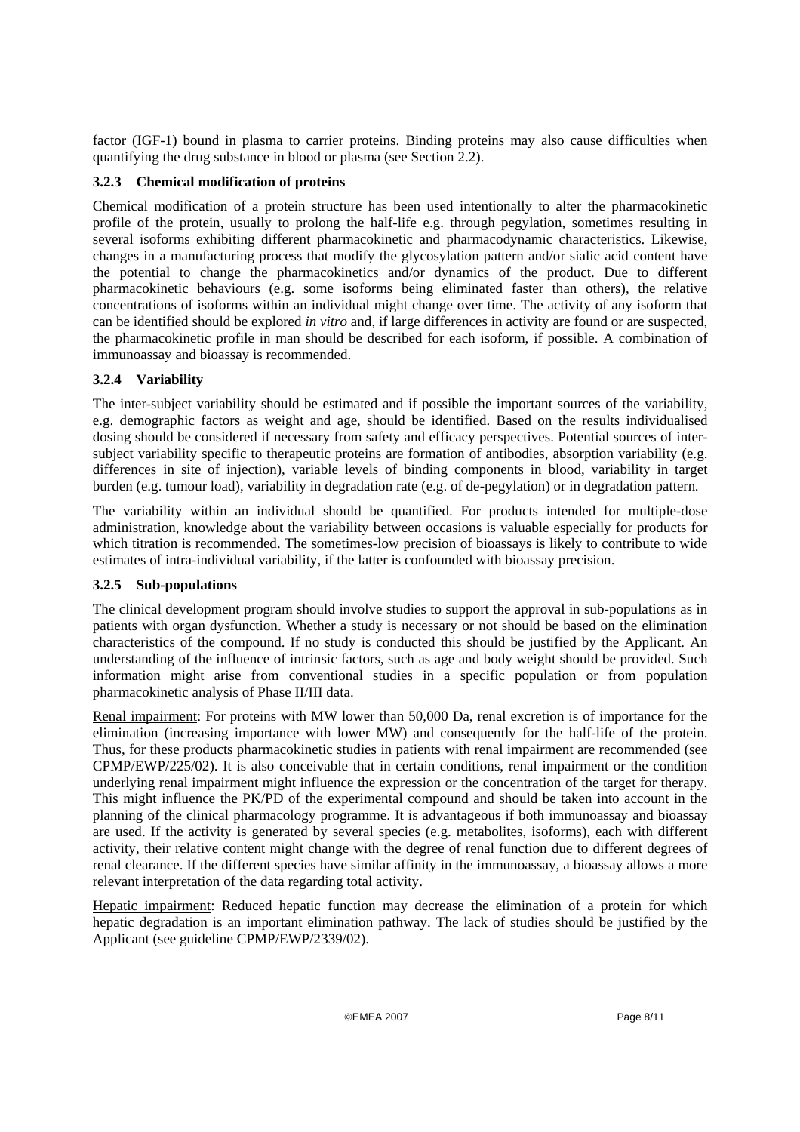factor (IGF-1) bound in plasma to carrier proteins. Binding proteins may also cause difficulties when quantifying the drug substance in blood or plasma (see Section 2.2).

# **3.2.3 Chemical modification of proteins**

Chemical modification of a protein structure has been used intentionally to alter the pharmacokinetic profile of the protein, usually to prolong the half-life e.g. through pegylation, sometimes resulting in several isoforms exhibiting different pharmacokinetic and pharmacodynamic characteristics. Likewise, changes in a manufacturing process that modify the glycosylation pattern and/or sialic acid content have the potential to change the pharmacokinetics and/or dynamics of the product. Due to different pharmacokinetic behaviours (e.g. some isoforms being eliminated faster than others), the relative concentrations of isoforms within an individual might change over time. The activity of any isoform that can be identified should be explored *in vitro* and, if large differences in activity are found or are suspected, the pharmacokinetic profile in man should be described for each isoform, if possible. A combination of immunoassay and bioassay is recommended.

# **3.2.4 Variability**

The inter-subject variability should be estimated and if possible the important sources of the variability, e.g. demographic factors as weight and age, should be identified. Based on the results individualised dosing should be considered if necessary from safety and efficacy perspectives. Potential sources of intersubject variability specific to therapeutic proteins are formation of antibodies, absorption variability (e.g. differences in site of injection), variable levels of binding components in blood, variability in target burden (e.g. tumour load), variability in degradation rate (e.g. of de-pegylation) or in degradation pattern*.*

The variability within an individual should be quantified. For products intended for multiple-dose administration, knowledge about the variability between occasions is valuable especially for products for which titration is recommended. The sometimes-low precision of bioassays is likely to contribute to wide estimates of intra-individual variability, if the latter is confounded with bioassay precision.

# **3.2.5 Sub-populations**

The clinical development program should involve studies to support the approval in sub-populations as in patients with organ dysfunction. Whether a study is necessary or not should be based on the elimination characteristics of the compound. If no study is conducted this should be justified by the Applicant. An understanding of the influence of intrinsic factors, such as age and body weight should be provided. Such information might arise from conventional studies in a specific population or from population pharmacokinetic analysis of Phase II/III data.

Renal impairment: For proteins with MW lower than 50,000 Da, renal excretion is of importance for the elimination (increasing importance with lower MW) and consequently for the half-life of the protein. Thus, for these products pharmacokinetic studies in patients with renal impairment are recommended (see CPMP/EWP/225/02). It is also conceivable that in certain conditions, renal impairment or the condition underlying renal impairment might influence the expression or the concentration of the target for therapy. This might influence the PK/PD of the experimental compound and should be taken into account in the planning of the clinical pharmacology programme. It is advantageous if both immunoassay and bioassay are used. If the activity is generated by several species (e.g. metabolites, isoforms), each with different activity, their relative content might change with the degree of renal function due to different degrees of renal clearance. If the different species have similar affinity in the immunoassay, a bioassay allows a more relevant interpretation of the data regarding total activity.

Hepatic impairment: Reduced hepatic function may decrease the elimination of a protein for which hepatic degradation is an important elimination pathway. The lack of studies should be justified by the Applicant (see guideline CPMP/EWP/2339/02).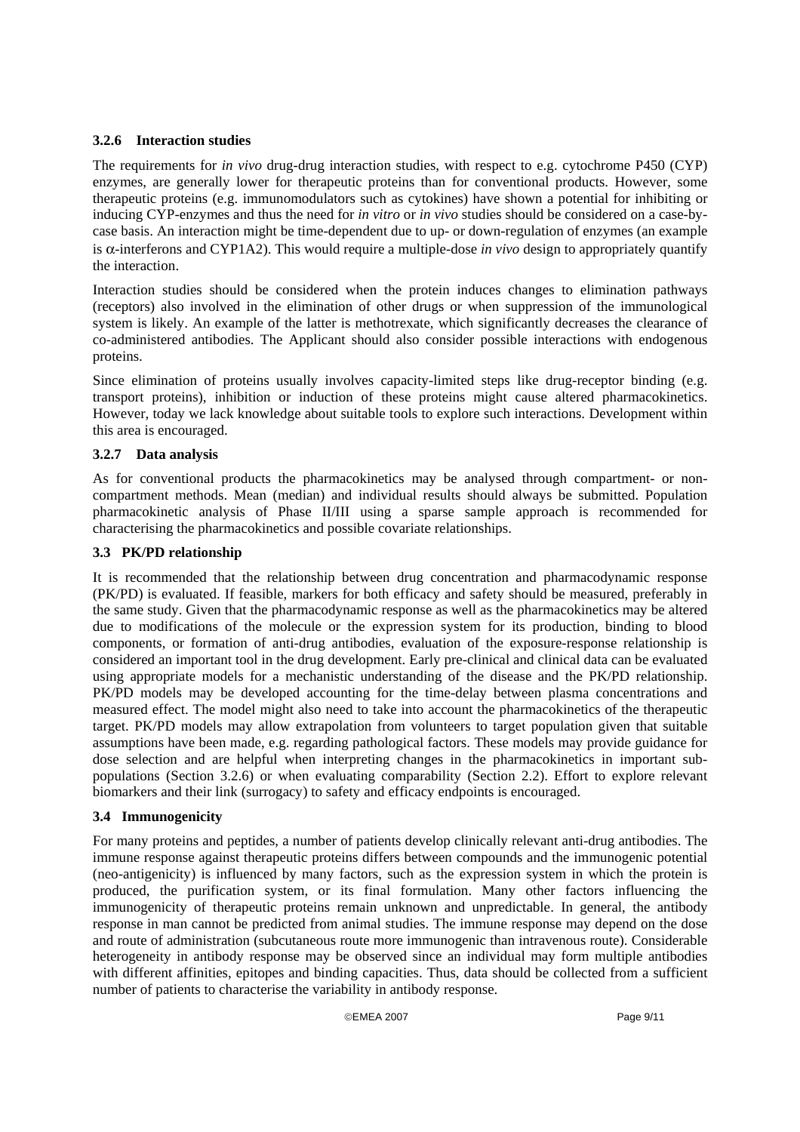## **3.2.6 Interaction studies**

The requirements for *in vivo* drug-drug interaction studies, with respect to e.g. cytochrome P450 (CYP) enzymes, are generally lower for therapeutic proteins than for conventional products. However, some therapeutic proteins (e.g. immunomodulators such as cytokines) have shown a potential for inhibiting or inducing CYP-enzymes and thus the need for *in vitro* or *in vivo* studies should be considered on a case-bycase basis. An interaction might be time-dependent due to up- or down-regulation of enzymes (an example is α-interferons and CYP1A2). This would require a multiple-dose *in vivo* design to appropriately quantify the interaction.

Interaction studies should be considered when the protein induces changes to elimination pathways (receptors) also involved in the elimination of other drugs or when suppression of the immunological system is likely. An example of the latter is methotrexate, which significantly decreases the clearance of co-administered antibodies. The Applicant should also consider possible interactions with endogenous proteins.

Since elimination of proteins usually involves capacity-limited steps like drug-receptor binding (e.g. transport proteins), inhibition or induction of these proteins might cause altered pharmacokinetics. However, today we lack knowledge about suitable tools to explore such interactions. Development within this area is encouraged.

# **3.2.7 Data analysis**

As for conventional products the pharmacokinetics may be analysed through compartment- or noncompartment methods. Mean (median) and individual results should always be submitted. Population pharmacokinetic analysis of Phase II/III using a sparse sample approach is recommended for characterising the pharmacokinetics and possible covariate relationships.

## **3.3 PK/PD relationship**

It is recommended that the relationship between drug concentration and pharmacodynamic response (PK/PD) is evaluated. If feasible, markers for both efficacy and safety should be measured, preferably in the same study. Given that the pharmacodynamic response as well as the pharmacokinetics may be altered due to modifications of the molecule or the expression system for its production, binding to blood components, or formation of anti-drug antibodies, evaluation of the exposure-response relationship is considered an important tool in the drug development. Early pre-clinical and clinical data can be evaluated using appropriate models for a mechanistic understanding of the disease and the PK/PD relationship. PK/PD models may be developed accounting for the time-delay between plasma concentrations and measured effect. The model might also need to take into account the pharmacokinetics of the therapeutic target. PK/PD models may allow extrapolation from volunteers to target population given that suitable assumptions have been made, e.g. regarding pathological factors. These models may provide guidance for dose selection and are helpful when interpreting changes in the pharmacokinetics in important subpopulations (Section 3.2.6) or when evaluating comparability (Section 2.2). Effort to explore relevant biomarkers and their link (surrogacy) to safety and efficacy endpoints is encouraged.

## **3.4 Immunogenicity**

For many proteins and peptides, a number of patients develop clinically relevant anti-drug antibodies. The immune response against therapeutic proteins differs between compounds and the immunogenic potential (neo-antigenicity) is influenced by many factors, such as the expression system in which the protein is produced, the purification system, or its final formulation. Many other factors influencing the immunogenicity of therapeutic proteins remain unknown and unpredictable. In general, the antibody response in man cannot be predicted from animal studies. The immune response may depend on the dose and route of administration (subcutaneous route more immunogenic than intravenous route). Considerable heterogeneity in antibody response may be observed since an individual may form multiple antibodies with different affinities, epitopes and binding capacities. Thus, data should be collected from a sufficient number of patients to characterise the variability in antibody response.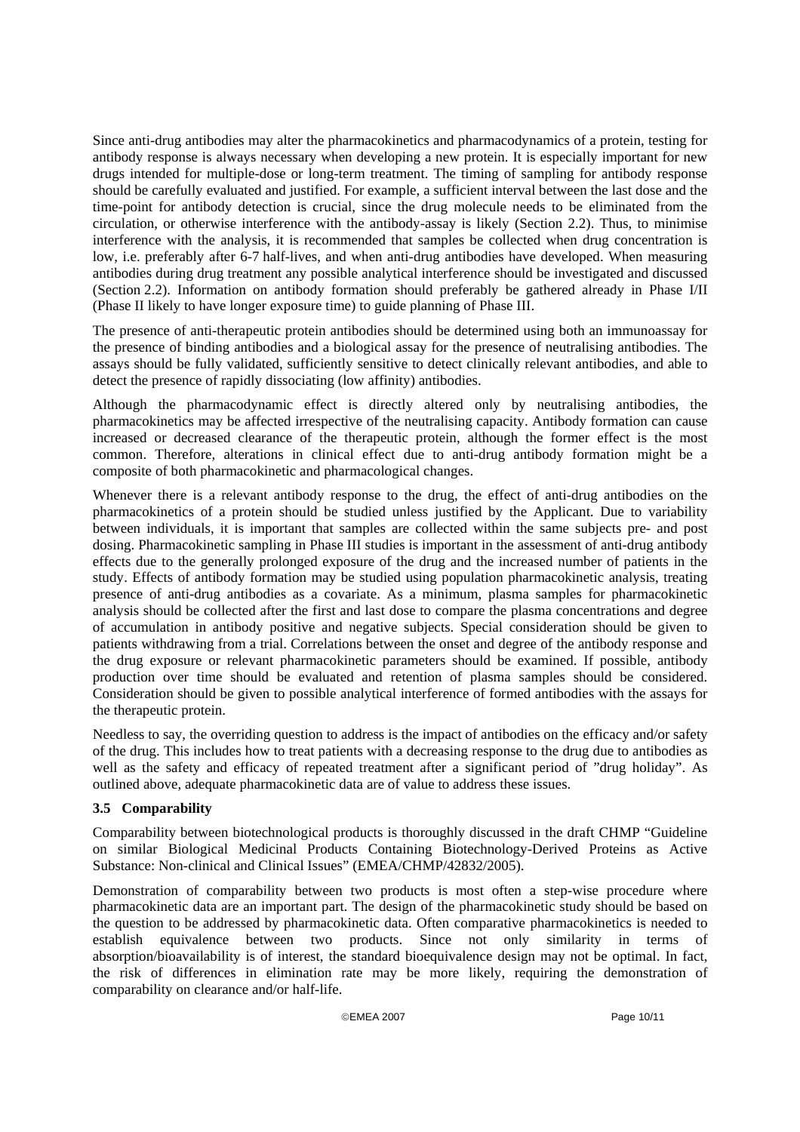Since anti-drug antibodies may alter the pharmacokinetics and pharmacodynamics of a protein, testing for antibody response is always necessary when developing a new protein. It is especially important for new drugs intended for multiple-dose or long-term treatment. The timing of sampling for antibody response should be carefully evaluated and justified. For example, a sufficient interval between the last dose and the time-point for antibody detection is crucial, since the drug molecule needs to be eliminated from the circulation, or otherwise interference with the antibody-assay is likely (Section 2.2). Thus, to minimise interference with the analysis, it is recommended that samples be collected when drug concentration is low, i.e. preferably after 6-7 half-lives, and when anti-drug antibodies have developed. When measuring antibodies during drug treatment any possible analytical interference should be investigated and discussed (Section 2.2). Information on antibody formation should preferably be gathered already in Phase I/II (Phase II likely to have longer exposure time) to guide planning of Phase III.

The presence of anti-therapeutic protein antibodies should be determined using both an immunoassay for the presence of binding antibodies and a biological assay for the presence of neutralising antibodies. The assays should be fully validated, sufficiently sensitive to detect clinically relevant antibodies, and able to detect the presence of rapidly dissociating (low affinity) antibodies.

Although the pharmacodynamic effect is directly altered only by neutralising antibodies, the pharmacokinetics may be affected irrespective of the neutralising capacity. Antibody formation can cause increased or decreased clearance of the therapeutic protein, although the former effect is the most common. Therefore, alterations in clinical effect due to anti-drug antibody formation might be a composite of both pharmacokinetic and pharmacological changes.

Whenever there is a relevant antibody response to the drug, the effect of anti-drug antibodies on the pharmacokinetics of a protein should be studied unless justified by the Applicant. Due to variability between individuals, it is important that samples are collected within the same subjects pre- and post dosing. Pharmacokinetic sampling in Phase III studies is important in the assessment of anti-drug antibody effects due to the generally prolonged exposure of the drug and the increased number of patients in the study. Effects of antibody formation may be studied using population pharmacokinetic analysis, treating presence of anti-drug antibodies as a covariate. As a minimum, plasma samples for pharmacokinetic analysis should be collected after the first and last dose to compare the plasma concentrations and degree of accumulation in antibody positive and negative subjects. Special consideration should be given to patients withdrawing from a trial. Correlations between the onset and degree of the antibody response and the drug exposure or relevant pharmacokinetic parameters should be examined. If possible, antibody production over time should be evaluated and retention of plasma samples should be considered. Consideration should be given to possible analytical interference of formed antibodies with the assays for the therapeutic protein.

Needless to say, the overriding question to address is the impact of antibodies on the efficacy and/or safety of the drug. This includes how to treat patients with a decreasing response to the drug due to antibodies as well as the safety and efficacy of repeated treatment after a significant period of "drug holiday". As outlined above, adequate pharmacokinetic data are of value to address these issues.

# **3.5 Comparability**

Comparability between biotechnological products is thoroughly discussed in the draft CHMP "Guideline on similar Biological Medicinal Products Containing Biotechnology-Derived Proteins as Active Substance: Non-clinical and Clinical Issues" (EMEA/CHMP/42832/2005).

Demonstration of comparability between two products is most often a step-wise procedure where pharmacokinetic data are an important part. The design of the pharmacokinetic study should be based on the question to be addressed by pharmacokinetic data. Often comparative pharmacokinetics is needed to establish equivalence between two products. Since not only similarity in terms of absorption/bioavailability is of interest, the standard bioequivalence design may not be optimal. In fact, the risk of differences in elimination rate may be more likely, requiring the demonstration of comparability on clearance and/or half-life.